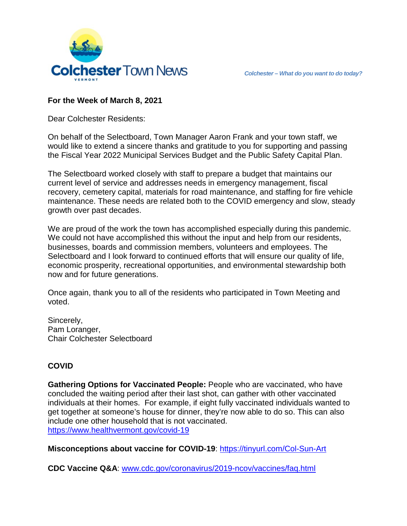

## **For the Week of March 8, 2021**

Dear Colchester Residents:

On behalf of the Selectboard, Town Manager Aaron Frank and your town staff, we would like to extend a sincere thanks and gratitude to you for supporting and passing the Fiscal Year 2022 Municipal Services Budget and the Public Safety Capital Plan.

The Selectboard worked closely with staff to prepare a budget that maintains our current level of service and addresses needs in emergency management, fiscal recovery, cemetery capital, materials for road maintenance, and staffing for fire vehicle maintenance. These needs are related both to the COVID emergency and slow, steady growth over past decades.

We are proud of the work the town has accomplished especially during this pandemic. We could not have accomplished this without the input and help from our residents, businesses, boards and commission members, volunteers and employees. The Selectboard and I look forward to continued efforts that will ensure our quality of life, economic prosperity, recreational opportunities, and environmental stewardship both now and for future generations.

Once again, thank you to all of the residents who participated in Town Meeting and voted.

Sincerely, Pam Loranger, Chair Colchester Selectboard

### **COVID**

**Gathering Options for Vaccinated People:** People who are vaccinated, who have concluded the waiting period after their last shot, can gather with other vaccinated individuals at their homes. For example, if eight fully vaccinated individuals wanted to get together at someone's house for dinner, they're now able to do so. This can also include one other household that is not vaccinated. <https://www.healthvermont.gov/covid-19>

**Misconceptions about vaccine for COVID-19**:<https://tinyurl.com/Col-Sun-Art>

**CDC Vaccine Q&A**: [www.cdc.gov/coronavirus/2019-ncov/vaccines/faq.html](http://www.cdc.gov/coronavirus/2019-ncov/vaccines/faq.html)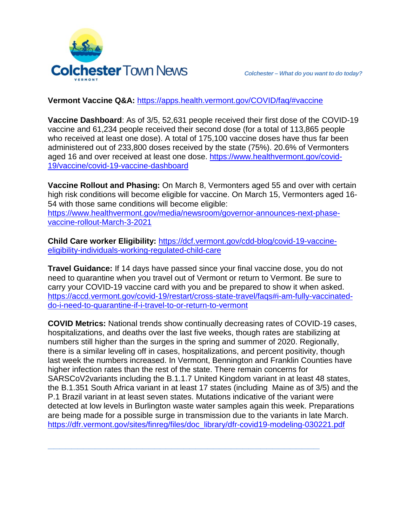

## **Vermont Vaccine Q&A:** <https://apps.health.vermont.gov/COVID/faq/#vaccine>

**Vaccine Dashboard**: As of 3/5, 52,631 people received their first dose of the COVID-19 vaccine and 61,234 people received their second dose (for a total of 113,865 people who received at least one dose). A total of 175,100 vaccine doses have thus far been administered out of 233,800 doses received by the state (75%). 20.6% of Vermonters aged 16 and over received at least one dose. [https://www.healthvermont.gov/covid-](https://www.healthvermont.gov/covid-19/vaccine/covid-19-vaccine-dashboard)[19/vaccine/covid-19-vaccine-dashboard](https://www.healthvermont.gov/covid-19/vaccine/covid-19-vaccine-dashboard)

**Vaccine Rollout and Phasing:** On March 8, Vermonters aged 55 and over with certain high risk conditions will become eligible for vaccine. On March 15, Vermonters aged 16- 54 with those same conditions will become eligible: [https://www.healthvermont.gov/media/newsroom/governor-announces-next-phase](https://www.healthvermont.gov/media/newsroom/governor-announces-next-phase-vaccine-rollout-March-3-2021)[vaccine-rollout-March-3-2021](https://www.healthvermont.gov/media/newsroom/governor-announces-next-phase-vaccine-rollout-March-3-2021)

**Child Care worker Eligibility:** [https://dcf.vermont.gov/cdd-blog/covid-19-vaccine](https://dcf.vermont.gov/cdd-blog/covid-19-vaccine-eligibility-individuals-working-regulated-child-care)[eligibility-individuals-working-regulated-child-care](https://dcf.vermont.gov/cdd-blog/covid-19-vaccine-eligibility-individuals-working-regulated-child-care)

**Travel Guidance:** If 14 days have passed since your final vaccine dose, you do not need to quarantine when you travel out of Vermont or return to Vermont. Be sure to carry your COVID-19 vaccine card with you and be prepared to show it when asked. [https://accd.vermont.gov/covid-19/restart/cross-state-travel/faqs#i-am-fully-vaccinated](https://accd.vermont.gov/covid-19/restart/cross-state-travel/faqs#i-am-fully-vaccinated-do-i-need-to-quarantine-if-i-travel-to-or-return-to-vermont)[do-i-need-to-quarantine-if-i-travel-to-or-return-to-vermont](https://accd.vermont.gov/covid-19/restart/cross-state-travel/faqs#i-am-fully-vaccinated-do-i-need-to-quarantine-if-i-travel-to-or-return-to-vermont)

**COVID Metrics:** National trends show continually decreasing rates of COVID-19 cases, hospitalizations, and deaths over the last five weeks, though rates are stabilizing at numbers still higher than the surges in the spring and summer of 2020. Regionally, there is a similar leveling off in cases, hospitalizations, and percent positivity, though last week the numbers increased. In Vermont, Bennington and Franklin Counties have higher infection rates than the rest of the state. There remain concerns for SARSCoV2variants including the B.1.1.7 United Kingdom variant in at least 48 states, the B.1.351 South Africa variant in at least 17 states (including Maine as of 3/5) and the P.1 Brazil variant in at least seven states. Mutations indicative of the variant were detected at low levels in Burlington waste water samples again this week. Preparations are being made for a possible surge in transmission due to the variants in late March. [https://dfr.vermont.gov/sites/finreg/files/doc\\_library/dfr-covid19-modeling-030221.pdf](https://dfr.vermont.gov/sites/finreg/files/doc_library/dfr-covid19-modeling-030221.pdf)

**\_\_\_\_\_\_\_\_\_\_\_\_\_\_\_\_\_\_\_\_\_\_\_\_\_\_\_\_\_\_\_\_\_\_\_\_\_\_\_\_\_\_\_\_\_\_**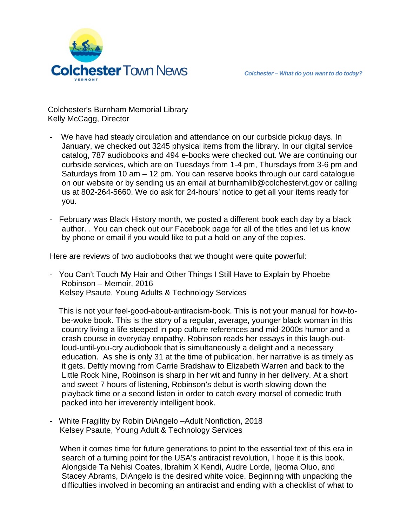Colchester's Burnham Memorial Library Kelly McCagg, Director

- We have had steady circulation and attendance on our curbside pickup days. In January, we checked out 3245 physical items from the library. In our digital service catalog, 787 audiobooks and 494 e-books were checked out. We are continuing our curbside services, which are on Tuesdays from 1-4 pm, Thursdays from 3-6 pm and Saturdays from 10 am – 12 pm. You can reserve books through our card catalogue on our website or by sending us an email at burnhamlib@colchestervt.gov or calling us at 802-264-5660. We do ask for 24-hours' notice to get all your items ready for you.
- February was Black History month, we posted a different book each day by a black author. . You can check out our Facebook page for all of the titles and let us know by phone or email if you would like to put a hold on any of the copies.

Here are reviews of two audiobooks that we thought were quite powerful:

- You Can't Touch My Hair and Other Things I Still Have to Explain by Phoebe Robinson – Memoir, 2016 Kelsey Psaute, Young Adults & Technology Services

 This is not your feel-good-about-antiracism-book. This is not your manual for how-tobe-woke book. This is the story of a regular, average, younger black woman in this country living a life steeped in pop culture references and mid-2000s humor and a crash course in everyday empathy. Robinson reads her essays in this laugh-outloud-until-you-cry audiobook that is simultaneously a delight and a necessary education. As she is only 31 at the time of publication, her narrative is as timely as it gets. Deftly moving from Carrie Bradshaw to Elizabeth Warren and back to the Little Rock Nine, Robinson is sharp in her wit and funny in her delivery. At a short and sweet 7 hours of listening, Robinson's debut is worth slowing down the playback time or a second listen in order to catch every morsel of comedic truth packed into her irreverently intelligent book.

- White Fragility by Robin DiAngelo –Adult Nonfiction, 2018 Kelsey Psaute, Young Adult & Technology Services

When it comes time for future generations to point to the essential text of this era in search of a turning point for the USA's antiracist revolution, I hope it is this book. Alongside Ta Nehisi Coates, Ibrahim X Kendi, Audre Lorde, Ijeoma Oluo, and Stacey Abrams, DiAngelo is the desired white voice. Beginning with unpacking the difficulties involved in becoming an antiracist and ending with a checklist of what to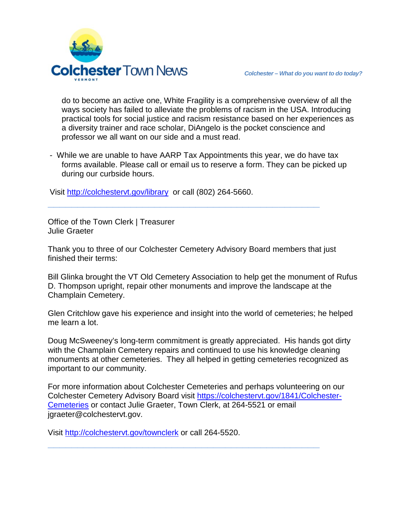

do to become an active one, White Fragility is a comprehensive overview of all the ways society has failed to alleviate the problems of racism in the USA. Introducing practical tools for social justice and racism resistance based on her experiences as a diversity trainer and race scholar, DiAngelo is the pocket conscience and professor we all want on our side and a must read.

- While we are unable to have AARP Tax Appointments this year, we do have tax forms available. Please call or email us to reserve a form. They can be picked up during our curbside hours.

Visit<http://colchestervt.gov/library>or call (802) 264-5660.

Office of the Town Clerk | Treasurer Julie Graeter

Thank you to three of our Colchester Cemetery Advisory Board members that just finished their terms:

**\_\_\_\_\_\_\_\_\_\_\_\_\_\_\_\_\_\_\_\_\_\_\_\_\_\_\_\_\_\_\_\_\_\_\_\_\_\_\_\_\_\_\_\_\_\_**

Bill Glinka brought the VT Old Cemetery Association to help get the monument of Rufus D. Thompson upright, repair other monuments and improve the landscape at the Champlain Cemetery.

Glen Critchlow gave his experience and insight into the world of cemeteries; he helped me learn a lot.

Doug McSweeney's long-term commitment is greatly appreciated. His hands got dirty with the Champlain Cemetery repairs and continued to use his knowledge cleaning monuments at other cemeteries. They all helped in getting cemeteries recognized as important to our community.

For more information about Colchester Cemeteries and perhaps volunteering on our Colchester Cemetery Advisory Board visit [https://colchestervt.gov/1841/Colchester-](https://colchestervt.gov/1841/Colchester-Cemeteries)[Cemeteries](https://colchestervt.gov/1841/Colchester-Cemeteries) or contact Julie Graeter, Town Clerk, at 264-5521 or email jgraeter@colchestervt.gov.

**\_\_\_\_\_\_\_\_\_\_\_\_\_\_\_\_\_\_\_\_\_\_\_\_\_\_\_\_\_\_\_\_\_\_\_\_\_\_\_\_\_\_\_\_\_\_**

Visit <http://colchestervt.gov/townclerk> or call 264-5520.